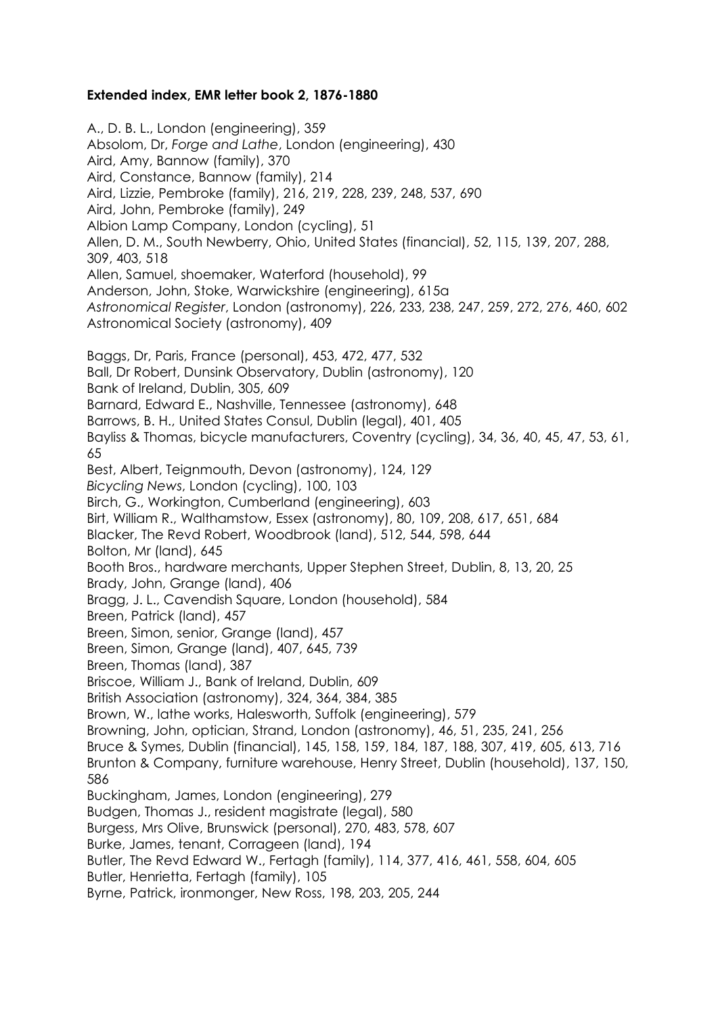## **Extended index, EMR letter book 2, 1876-1880**

A., D. B. L., London (engineering), 359 Absolom, Dr, *Forge and Lathe*, London (engineering), 430 Aird, Amy, Bannow (family), 370 Aird, Constance, Bannow (family), 214 Aird, Lizzie, Pembroke (family), 216, 219, 228, 239, 248, 537, 690 Aird, John, Pembroke (family), 249 Albion Lamp Company, London (cycling), 51 Allen, D. M., South Newberry, Ohio, United States (financial), 52, 115, 139, 207, 288, 309, 403, 518 Allen, Samuel, shoemaker, Waterford (household), 99 Anderson, John, Stoke, Warwickshire (engineering), 615a *Astronomical Register*, London (astronomy), 226, 233, 238, 247, 259, 272, 276, 460, 602 Astronomical Society (astronomy), 409 Baggs, Dr, Paris, France (personal), 453, 472, 477, 532 Ball, Dr Robert, Dunsink Observatory, Dublin (astronomy), 120 Bank of Ireland, Dublin, 305, 609 Barnard, Edward E., Nashville, Tennessee (astronomy), 648 Barrows, B. H., United States Consul, Dublin (legal), 401, 405 Bayliss & Thomas, bicycle manufacturers, Coventry (cycling), 34, 36, 40, 45, 47, 53, 61, 65 Best, Albert, Teignmouth, Devon (astronomy), 124, 129 *Bicycling News*, London (cycling), 100, 103 Birch, G., Workington, Cumberland (engineering), 603 Birt, William R., Walthamstow, Essex (astronomy), 80, 109, 208, 617, 651, 684 Blacker, The Revd Robert, Woodbrook (land), 512, 544, 598, 644 Bolton, Mr (land), 645 Booth Bros., hardware merchants, Upper Stephen Street, Dublin, 8, 13, 20, 25 Brady, John, Grange (land), 406 Bragg, J. L., Cavendish Square, London (household), 584 Breen, Patrick (land), 457 Breen, Simon, senior, Grange (land), 457 Breen, Simon, Grange (land), 407, 645, 739 Breen, Thomas (land), 387 Briscoe, William J., Bank of Ireland, Dublin, 609 British Association (astronomy), 324, 364, 384, 385 Brown, W., lathe works, Halesworth, Suffolk (engineering), 579 Browning, John, optician, Strand, London (astronomy), 46, 51, 235, 241, 256 Bruce & Symes, Dublin (financial), 145, 158, 159, 184, 187, 188, 307, 419, 605, 613, 716 Brunton & Company, furniture warehouse, Henry Street, Dublin (household), 137, 150, 586 Buckingham, James, London (engineering), 279 Budgen, Thomas J., resident magistrate (legal), 580 Burgess, Mrs Olive, Brunswick (personal), 270, 483, 578, 607 Burke, James, tenant, Corrageen (land), 194 Butler, The Revd Edward W., Fertagh (family), 114, 377, 416, 461, 558, 604, 605 Butler, Henrietta, Fertagh (family), 105 Byrne, Patrick, ironmonger, New Ross, 198, 203, 205, 244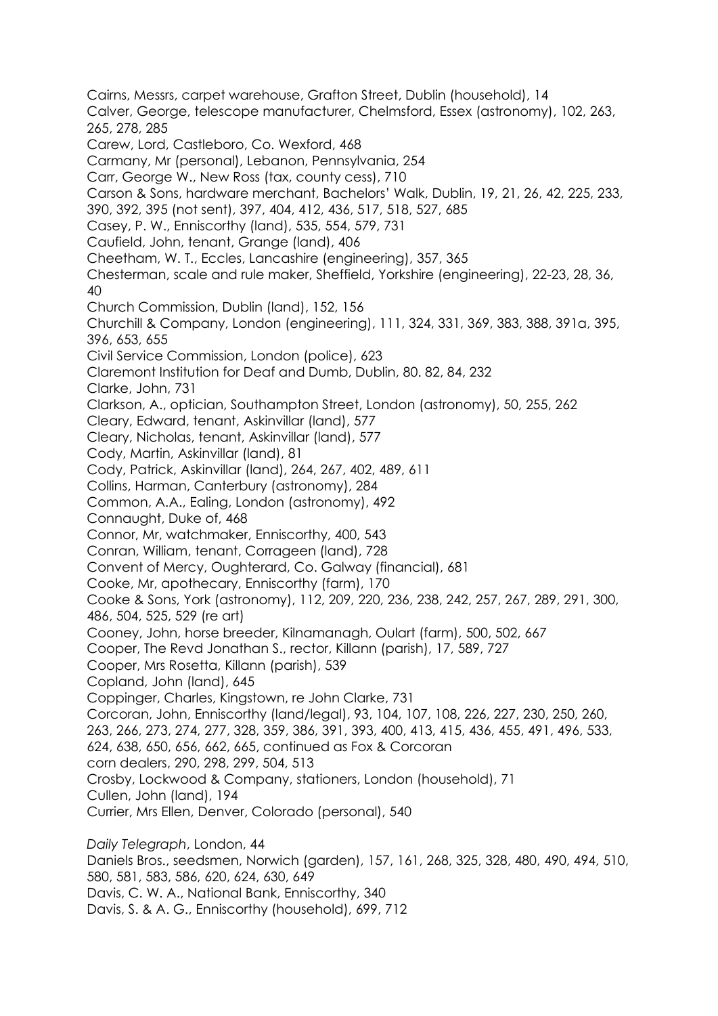Cairns, Messrs, carpet warehouse, Grafton Street, Dublin (household), 14 Calver, George, telescope manufacturer, Chelmsford, Essex (astronomy), 102, 263, 265, 278, 285 Carew, Lord, Castleboro, Co. Wexford, 468 Carmany, Mr (personal), Lebanon, Pennsylvania, 254 Carr, George W., New Ross (tax, county cess), 710 Carson & Sons, hardware merchant, Bachelors' Walk, Dublin, 19, 21, 26, 42, 225, 233, 390, 392, 395 (not sent), 397, 404, 412, 436, 517, 518, 527, 685 Casey, P. W., Enniscorthy (land), 535, 554, 579, 731 Caufield, John, tenant, Grange (land), 406 Cheetham, W. T., Eccles, Lancashire (engineering), 357, 365 Chesterman, scale and rule maker, Sheffield, Yorkshire (engineering), 22-23, 28, 36, 40 Church Commission, Dublin (land), 152, 156 Churchill & Company, London (engineering), 111, 324, 331, 369, 383, 388, 391a, 395, 396, 653, 655 Civil Service Commission, London (police), 623 Claremont Institution for Deaf and Dumb, Dublin, 80. 82, 84, 232 Clarke, John, 731 Clarkson, A., optician, Southampton Street, London (astronomy), 50, 255, 262 Cleary, Edward, tenant, Askinvillar (land), 577 Cleary, Nicholas, tenant, Askinvillar (land), 577 Cody, Martin, Askinvillar (land), 81 Cody, Patrick, Askinvillar (land), 264, 267, 402, 489, 611 Collins, Harman, Canterbury (astronomy), 284 Common, A.A., Ealing, London (astronomy), 492 Connaught, Duke of, 468 Connor, Mr, watchmaker, Enniscorthy, 400, 543 Conran, William, tenant, Corrageen (land), 728 Convent of Mercy, Oughterard, Co. Galway (financial), 681 Cooke, Mr, apothecary, Enniscorthy (farm), 170 Cooke & Sons, York (astronomy), 112, 209, 220, 236, 238, 242, 257, 267, 289, 291, 300, 486, 504, 525, 529 (re art) Cooney, John, horse breeder, Kilnamanagh, Oulart (farm), 500, 502, 667 Cooper, The Revd Jonathan S., rector, Killann (parish), 17, 589, 727 Cooper, Mrs Rosetta, Killann (parish), 539 Copland, John (land), 645 Coppinger, Charles, Kingstown, re John Clarke, 731 Corcoran, John, Enniscorthy (land/legal), 93, 104, 107, 108, 226, 227, 230, 250, 260, 263, 266, 273, 274, 277, 328, 359, 386, 391, 393, 400, 413, 415, 436, 455, 491, 496, 533, 624, 638, 650, 656, 662, 665, continued as Fox & Corcoran corn dealers, 290, 298, 299, 504, 513 Crosby, Lockwood & Company, stationers, London (household), 71 Cullen, John (land), 194 Currier, Mrs Ellen, Denver, Colorado (personal), 540 *Daily Telegraph*, London, 44 Daniels Bros., seedsmen, Norwich (garden), 157, 161, 268, 325, 328, 480, 490, 494, 510, 580, 581, 583, 586, 620, 624, 630, 649 Davis, C. W. A., National Bank, Enniscorthy, 340 Davis, S. & A. G., Enniscorthy (household), 699, 712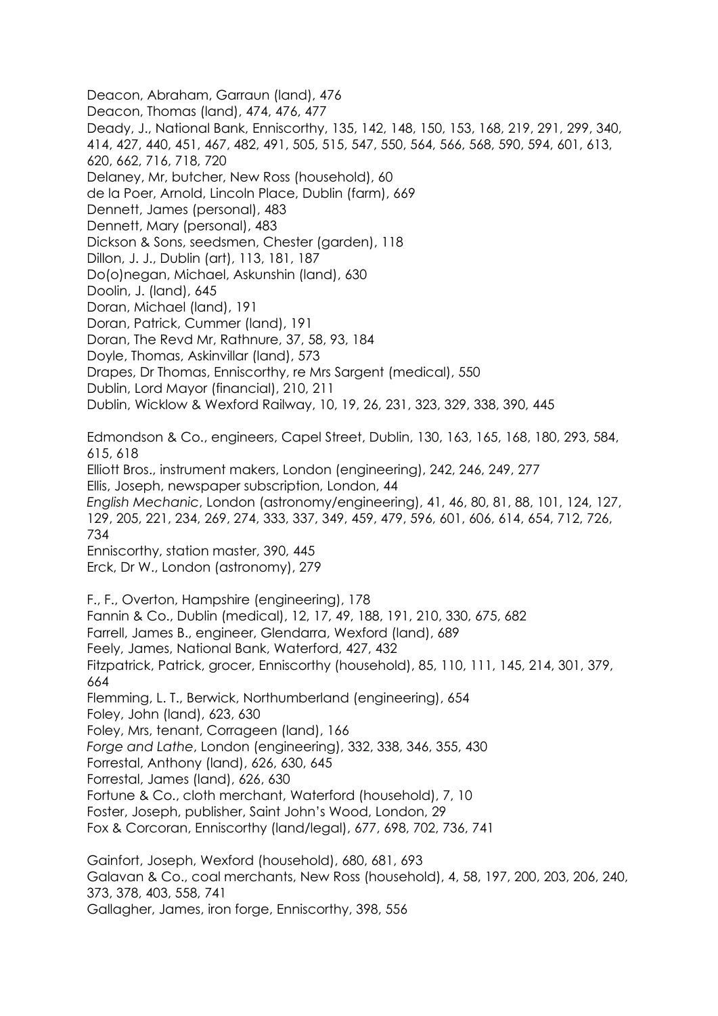Deacon, Abraham, Garraun (land), 476 Deacon, Thomas (land), 474, 476, 477 Deady, J., National Bank, Enniscorthy, 135, 142, 148, 150, 153, 168, 219, 291, 299, 340, 414, 427, 440, 451, 467, 482, 491, 505, 515, 547, 550, 564, 566, 568, 590, 594, 601, 613, 620, 662, 716, 718, 720 Delaney, Mr, butcher, New Ross (household), 60 de la Poer, Arnold, Lincoln Place, Dublin (farm), 669 Dennett, James (personal), 483 Dennett, Mary (personal), 483 Dickson & Sons, seedsmen, Chester (garden), 118 Dillon, J. J., Dublin (art), 113, 181, 187 Do(o)negan, Michael, Askunshin (land), 630 Doolin, J. (land), 645 Doran, Michael (land), 191 Doran, Patrick, Cummer (land), 191 Doran, The Revd Mr, Rathnure, 37, 58, 93, 184 Doyle, Thomas, Askinvillar (land), 573 Drapes, Dr Thomas, Enniscorthy, re Mrs Sargent (medical), 550 Dublin, Lord Mayor (financial), 210, 211 Dublin, Wicklow & Wexford Railway, 10, 19, 26, 231, 323, 329, 338, 390, 445 Edmondson & Co., engineers, Capel Street, Dublin, 130, 163, 165, 168, 180, 293, 584, 615, 618 Elliott Bros., instrument makers, London (engineering), 242, 246, 249, 277 Ellis, Joseph, newspaper subscription, London, 44 *English Mechanic*, London (astronomy/engineering), 41, 46, 80, 81, 88, 101, 124, 127, 129, 205, 221, 234, 269, 274, 333, 337, 349, 459, 479, 596, 601, 606, 614, 654, 712, 726, 734 Enniscorthy, station master, 390, 445 Erck, Dr W., London (astronomy), 279 F., F., Overton, Hampshire (engineering), 178 Fannin & Co., Dublin (medical), 12, 17, 49, 188, 191, 210, 330, 675, 682 Farrell, James B., engineer, Glendarra, Wexford (land), 689 Feely, James, National Bank, Waterford, 427, 432 Fitzpatrick, Patrick, grocer, Enniscorthy (household), 85, 110, 111, 145, 214, 301, 379, 664 Flemming, L. T., Berwick, Northumberland (engineering), 654 Foley, John (land), 623, 630 Foley, Mrs, tenant, Corrageen (land), 166 *Forge and Lathe*, London (engineering), 332, 338, 346, 355, 430 Forrestal, Anthony (land), 626, 630, 645 Forrestal, James (land), 626, 630 Fortune & Co., cloth merchant, Waterford (household), 7, 10 Foster, Joseph, publisher, Saint John's Wood, London, 29 Fox & Corcoran, Enniscorthy (land/legal), 677, 698, 702, 736, 741 Gainfort, Joseph, Wexford (household), 680, 681, 693 Galavan & Co., coal merchants, New Ross (household), 4, 58, 197, 200, 203, 206, 240, 373, 378, 403, 558, 741 Gallagher, James, iron forge, Enniscorthy, 398, 556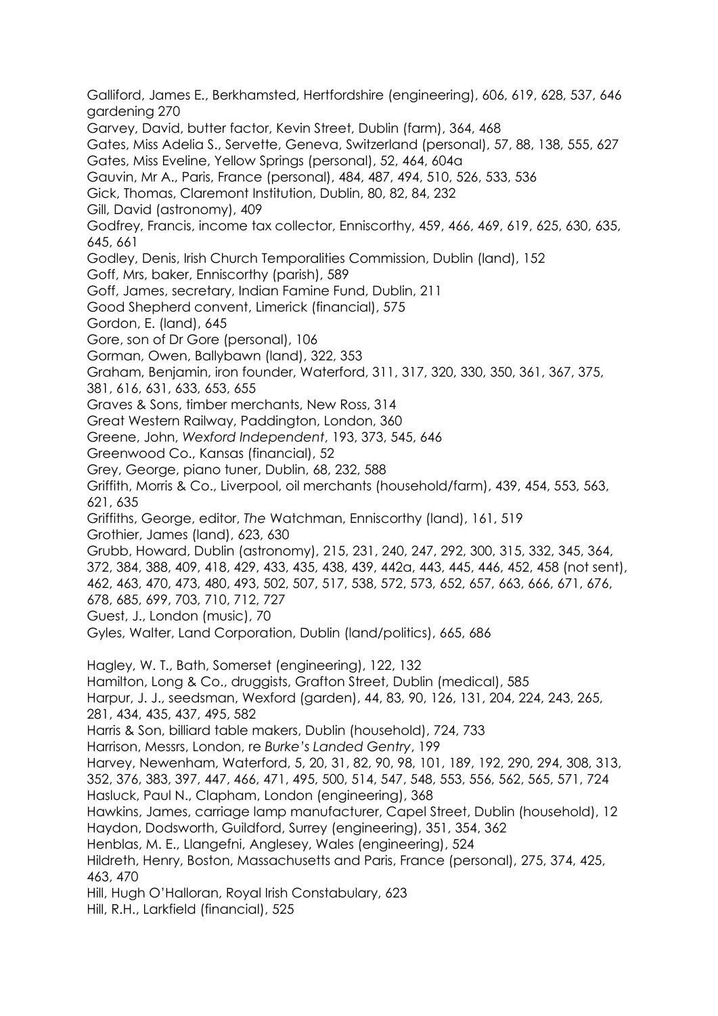Galliford, James E., Berkhamsted, Hertfordshire (engineering), 606, 619, 628, 537, 646 gardening 270 Garvey, David, butter factor, Kevin Street, Dublin (farm), 364, 468 Gates, Miss Adelia S., Servette, Geneva, Switzerland (personal), 57, 88, 138, 555, 627 Gates, Miss Eveline, Yellow Springs (personal), 52, 464, 604a Gauvin, Mr A., Paris, France (personal), 484, 487, 494, 510, 526, 533, 536 Gick, Thomas, Claremont Institution, Dublin, 80, 82, 84, 232 Gill, David (astronomy), 409 Godfrey, Francis, income tax collector, Enniscorthy, 459, 466, 469, 619, 625, 630, 635, 645, 661 Godley, Denis, Irish Church Temporalities Commission, Dublin (land), 152 Goff, Mrs, baker, Enniscorthy (parish), 589 Goff, James, secretary, Indian Famine Fund, Dublin, 211 Good Shepherd convent, Limerick (financial), 575 Gordon, E. (land), 645 Gore, son of Dr Gore (personal), 106 Gorman, Owen, Ballybawn (land), 322, 353 Graham, Benjamin, iron founder, Waterford, 311, 317, 320, 330, 350, 361, 367, 375, 381, 616, 631, 633, 653, 655 Graves & Sons, timber merchants, New Ross, 314 Great Western Railway, Paddington, London, 360 Greene, John, *Wexford Independent*, 193, 373, 545, 646 Greenwood Co., Kansas (financial), 52 Grey, George, piano tuner, Dublin, 68, 232, 588 Griffith, Morris & Co., Liverpool, oil merchants (household/farm), 439, 454, 553, 563, 621, 635 Griffiths, George, editor, *The* Watchman, Enniscorthy (land), 161, 519 Grothier, James (land), 623, 630 Grubb, Howard, Dublin (astronomy), 215, 231, 240, 247, 292, 300, 315, 332, 345, 364, 372, 384, 388, 409, 418, 429, 433, 435, 438, 439, 442a, 443, 445, 446, 452, 458 (not sent), 462, 463, 470, 473, 480, 493, 502, 507, 517, 538, 572, 573, 652, 657, 663, 666, 671, 676, 678, 685, 699, 703, 710, 712, 727 Guest, J., London (music), 70 Gyles, Walter, Land Corporation, Dublin (land/politics), 665, 686 Hagley, W. T., Bath, Somerset (engineering), 122, 132 Hamilton, Long & Co., druggists, Grafton Street, Dublin (medical), 585 Harpur, J. J., seedsman, Wexford (garden), 44, 83, 90, 126, 131, 204, 224, 243, 265, 281, 434, 435, 437, 495, 582 Harris & Son, billiard table makers, Dublin (household), 724, 733 Harrison, Messrs, London, re *Burke's Landed Gentry*, 199 Harvey, Newenham, Waterford, 5, 20, 31, 82, 90, 98, 101, 189, 192, 290, 294, 308, 313, 352, 376, 383, 397, 447, 466, 471, 495, 500, 514, 547, 548, 553, 556, 562, 565, 571, 724 Hasluck, Paul N., Clapham, London (engineering), 368 Hawkins, James, carriage lamp manufacturer, Capel Street, Dublin (household), 12 Haydon, Dodsworth, Guildford, Surrey (engineering), 351, 354, 362 Henblas, M. E., Llangefni, Anglesey, Wales (engineering), 524 Hildreth, Henry, Boston, Massachusetts and Paris, France (personal), 275, 374, 425, 463, 470 Hill, Hugh O'Halloran, Royal Irish Constabulary, 623 Hill, R.H., Larkfield (financial), 525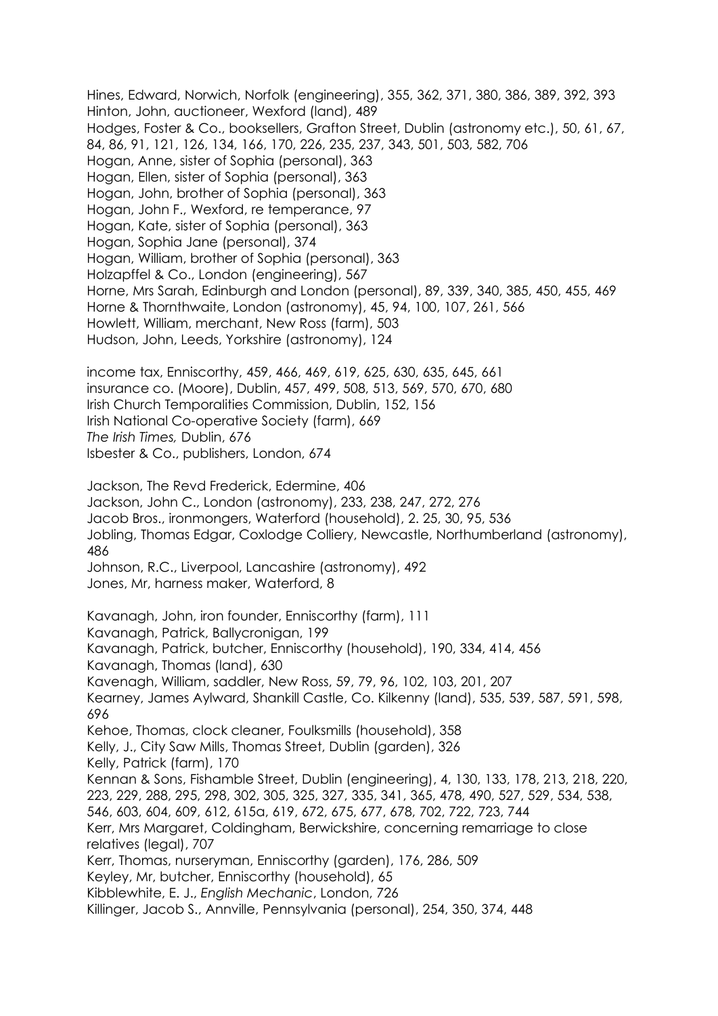Hines, Edward, Norwich, Norfolk (engineering), 355, 362, 371, 380, 386, 389, 392, 393 Hinton, John, auctioneer, Wexford (land), 489 Hodges, Foster & Co., booksellers, Grafton Street, Dublin (astronomy etc.), 50, 61, 67, 84, 86, 91, 121, 126, 134, 166, 170, 226, 235, 237, 343, 501, 503, 582, 706 Hogan, Anne, sister of Sophia (personal), 363 Hogan, Ellen, sister of Sophia (personal), 363 Hogan, John, brother of Sophia (personal), 363 Hogan, John F., Wexford, re temperance, 97 Hogan, Kate, sister of Sophia (personal), 363 Hogan, Sophia Jane (personal), 374 Hogan, William, brother of Sophia (personal), 363 Holzapffel & Co., London (engineering), 567 Horne, Mrs Sarah, Edinburgh and London (personal), 89, 339, 340, 385, 450, 455, 469 Horne & Thornthwaite, London (astronomy), 45, 94, 100, 107, 261, 566 Howlett, William, merchant, New Ross (farm), 503 Hudson, John, Leeds, Yorkshire (astronomy), 124

income tax, Enniscorthy, 459, 466, 469, 619, 625, 630, 635, 645, 661 insurance co. (Moore), Dublin, 457, 499, 508, 513, 569, 570, 670, 680 Irish Church Temporalities Commission, Dublin, 152, 156 Irish National Co-operative Society (farm), 669 *The Irish Times,* Dublin, 676 Isbester & Co., publishers, London, 674

Jackson, The Revd Frederick, Edermine, 406 Jackson, John C., London (astronomy), 233, 238, 247, 272, 276 Jacob Bros., ironmongers, Waterford (household), 2. 25, 30, 95, 536 Jobling, Thomas Edgar, Coxlodge Colliery, Newcastle, Northumberland (astronomy), 486 Johnson, R.C., Liverpool, Lancashire (astronomy), 492 Jones, Mr, harness maker, Waterford, 8 Kavanagh, John, iron founder, Enniscorthy (farm), 111 Kavanagh, Patrick, Ballycronigan, 199 Kavanagh, Patrick, butcher, Enniscorthy (household), 190, 334, 414, 456 Kavanagh, Thomas (land), 630 Kavenagh, William, saddler, New Ross, 59, 79, 96, 102, 103, 201, 207 Kearney, James Aylward, Shankill Castle, Co. Kilkenny (land), 535, 539, 587, 591, 598, 696 Kehoe, Thomas, clock cleaner, Foulksmills (household), 358 Kelly, J., City Saw Mills, Thomas Street, Dublin (aarden), 326 Kelly, Patrick (farm), 170 Kennan & Sons, Fishamble Street, Dublin (engineering), 4, 130, 133, 178, 213, 218, 220, 223, 229, 288, 295, 298, 302, 305, 325, 327, 335, 341, 365, 478, 490, 527, 529, 534, 538, 546, 603, 604, 609, 612, 615a, 619, 672, 675, 677, 678, 702, 722, 723, 744 Kerr, Mrs Margaret, Coldingham, Berwickshire, concerning remarriage to close relatives (legal), 707 Kerr, Thomas, nurseryman, Enniscorthy (garden), 176, 286, 509 Keyley, Mr, butcher, Enniscorthy (household), 65 Kibblewhite, E. J., *English Mechanic*, London, 726 Killinger, Jacob S., Annville, Pennsylvania (personal), 254, 350, 374, 448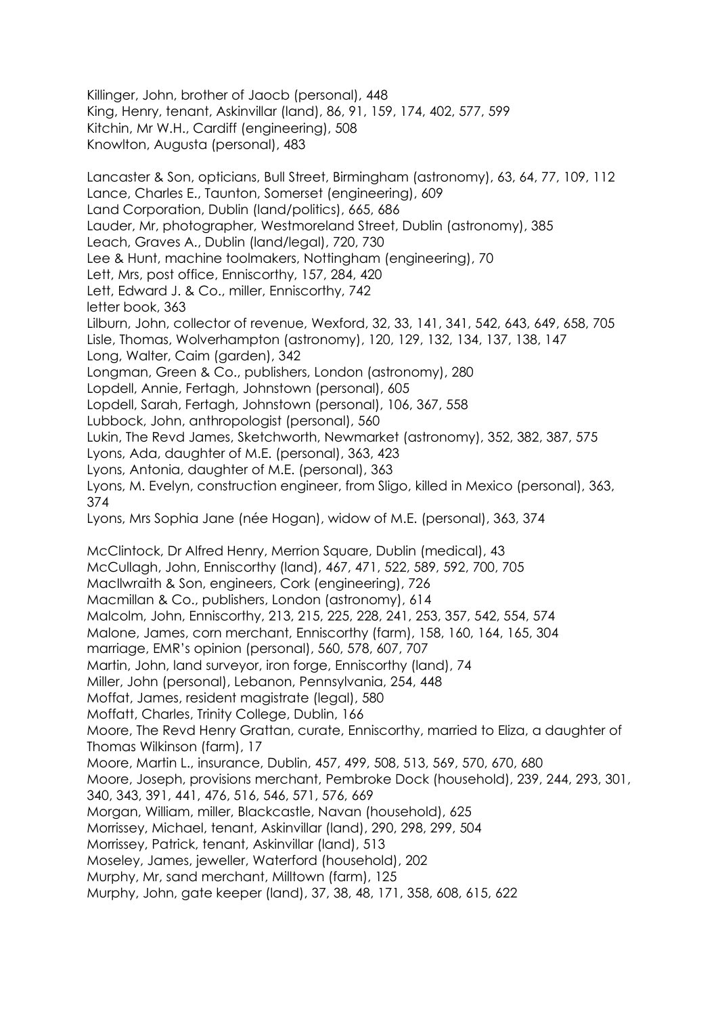Killinger, John, brother of Jaocb (personal), 448 King, Henry, tenant, Askinvillar (land), 86, 91, 159, 174, 402, 577, 599 Kitchin, Mr W.H., Cardiff (engineering), 508 Knowlton, Augusta (personal), 483 Lancaster & Son, opticians, Bull Street, Birmingham (astronomy), 63, 64, 77, 109, 112

Lance, Charles E., Taunton, Somerset (engineering), 609 Land Corporation, Dublin (land/politics), 665, 686 Lauder, Mr, photographer, Westmoreland Street, Dublin (astronomy), 385 Leach, Graves A., Dublin (land/legal), 720, 730 Lee & Hunt, machine toolmakers, Nottingham (engineering), 70 Lett, Mrs, post office, Enniscorthy, 157, 284, 420 Lett, Edward J. & Co., miller, Enniscorthy, 742 letter book, 363 Lilburn, John, collector of revenue, Wexford, 32, 33, 141, 341, 542, 643, 649, 658, 705 Lisle, Thomas, Wolverhampton (astronomy), 120, 129, 132, 134, 137, 138, 147 Long, Walter, Caim (garden), 342 Longman, Green & Co., publishers, London (astronomy), 280 Lopdell, Annie, Fertagh, Johnstown (personal), 605 Lopdell, Sarah, Fertagh, Johnstown (personal), 106, 367, 558 Lubbock, John, anthropologist (personal), 560 Lukin, The Revd James, Sketchworth, Newmarket (astronomy), 352, 382, 387, 575 Lyons, Ada, daughter of M.E. (personal), 363, 423 Lyons, Antonia, daughter of M.E. (personal), 363 Lyons, M. Evelyn, construction engineer, from Sligo, killed in Mexico (personal), 363, 374 Lyons, Mrs Sophia Jane (née Hogan), widow of M.E. (personal), 363, 374 McClintock, Dr Alfred Henry, Merrion Square, Dublin (medical), 43 McCullagh, John, Enniscorthy (land), 467, 471, 522, 589, 592, 700, 705 MacIlwraith & Son, engineers, Cork (engineering), 726 Macmillan & Co., publishers, London (astronomy), 614 Malcolm, John, Enniscorthy, 213, 215, 225, 228, 241, 253, 357, 542, 554, 574 Malone, James, corn merchant, Enniscorthy (farm), 158, 160, 164, 165, 304 marriage, EMR's opinion (personal), 560, 578, 607, 707 Martin, John, land surveyor, iron forge, Enniscorthy (land), 74 Miller, John (personal), Lebanon, Pennsylvania, 254, 448 Moffat, James, resident magistrate (legal), 580 Moffatt, Charles, Trinity College, Dublin, 166 Moore, The Revd Henry Grattan, curate, Enniscorthy, married to Eliza, a daughter of Thomas Wilkinson (farm), 17 Moore, Martin L., insurance, Dublin, 457, 499, 508, 513, 569, 570, 670, 680 Moore, Joseph, provisions merchant, Pembroke Dock (household), 239, 244, 293, 301, 340, 343, 391, 441, 476, 516, 546, 571, 576, 669 Morgan, William, miller, Blackcastle, Navan (household), 625 Morrissey, Michael, tenant, Askinvillar (land), 290, 298, 299, 504 Morrissey, Patrick, tenant, Askinvillar (land), 513 Moseley, James, jeweller, Waterford (household), 202 Murphy, Mr, sand merchant, Milltown (farm), 125 Murphy, John, gate keeper (land), 37, 38, 48, 171, 358, 608, 615, 622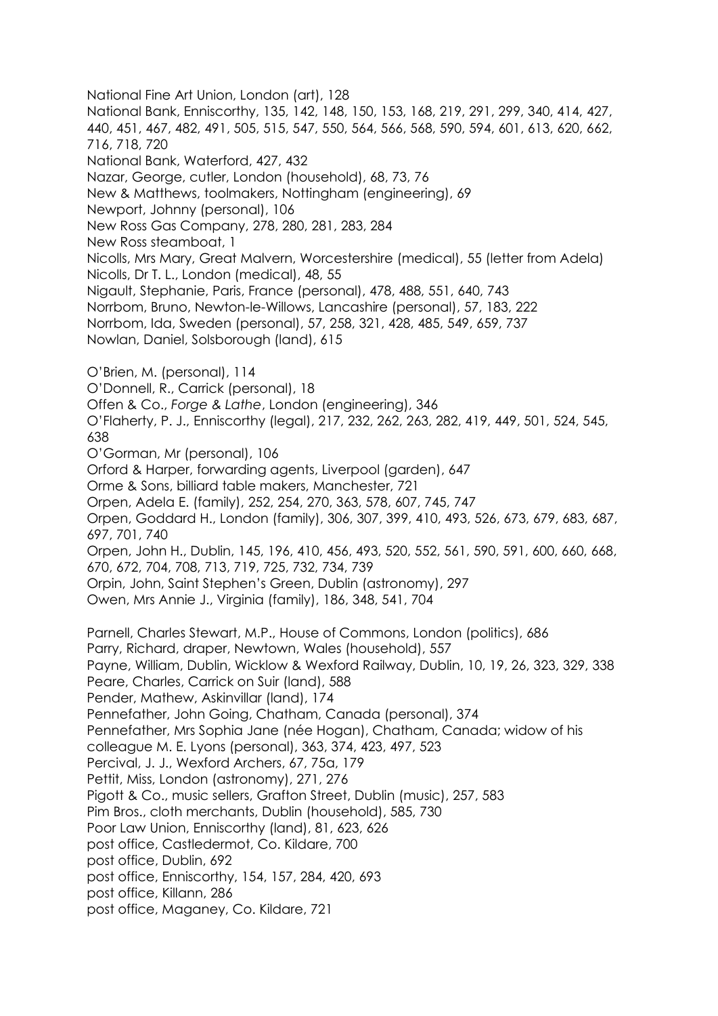National Fine Art Union, London (art), 128 National Bank, Enniscorthy, 135, 142, 148, 150, 153, 168, 219, 291, 299, 340, 414, 427, 440, 451, 467, 482, 491, 505, 515, 547, 550, 564, 566, 568, 590, 594, 601, 613, 620, 662, 716, 718, 720 National Bank, Waterford, 427, 432 Nazar, George, cutler, London (household), 68, 73, 76 New & Matthews, toolmakers, Nottingham (engineering), 69 Newport, Johnny (personal), 106 New Ross Gas Company, 278, 280, 281, 283, 284 New Ross steamboat, 1 Nicolls, Mrs Mary, Great Malvern, Worcestershire (medical), 55 (letter from Adela) Nicolls, Dr T. L., London (medical), 48, 55 Nigault, Stephanie, Paris, France (personal), 478, 488, 551, 640, 743 Norrbom, Bruno, Newton-le-Willows, Lancashire (personal), 57, 183, 222 Norrbom, Ida, Sweden (personal), 57, 258, 321, 428, 485, 549, 659, 737 Nowlan, Daniel, Solsborough (land), 615 O'Brien, M. (personal), 114 O'Donnell, R., Carrick (personal), 18 Offen & Co., *Forge & Lathe*, London (engineering), 346 O'Flaherty, P. J., Enniscorthy (legal), 217, 232, 262, 263, 282, 419, 449, 501, 524, 545, 638 O'Gorman, Mr (personal), 106 Orford & Harper, forwarding agents, Liverpool (garden), 647 Orme & Sons, billiard table makers, Manchester, 721 Orpen, Adela E. (family), 252, 254, 270, 363, 578, 607, 745, 747 Orpen, Goddard H., London (family), 306, 307, 399, 410, 493, 526, 673, 679, 683, 687, 697, 701, 740 Orpen, John H., Dublin, 145, 196, 410, 456, 493, 520, 552, 561, 590, 591, 600, 660, 668, 670, 672, 704, 708, 713, 719, 725, 732, 734, 739 Orpin, John, Saint Stephen's Green, Dublin (astronomy), 297 Owen, Mrs Annie J., Virginia (family), 186, 348, 541, 704 Parnell, Charles Stewart, M.P., House of Commons, London (politics), 686 Parry, Richard, draper, Newtown, Wales (household), 557 Payne, William, Dublin, Wicklow & Wexford Railway, Dublin, 10, 19, 26, 323, 329, 338 Peare, Charles, Carrick on Suir (land), 588 Pender, Mathew, Askinvillar (land), 174 Pennefather, John Going, Chatham, Canada (personal), 374 Pennefather, Mrs Sophia Jane (née Hogan), Chatham, Canada; widow of his colleague M. E. Lyons (personal), 363, 374, 423, 497, 523 Percival, J. J., Wexford Archers, 67, 75a, 179 Pettit, Miss, London (astronomy), 271, 276 Pigott & Co., music sellers, Grafton Street, Dublin (music), 257, 583 Pim Bros., cloth merchants, Dublin (household), 585, 730 Poor Law Union, Enniscorthy (land), 81, 623, 626 post office, Castledermot, Co. Kildare, 700 post office, Dublin, 692 post office, Enniscorthy, 154, 157, 284, 420, 693 post office, Killann, 286 post office, Maganey, Co. Kildare, 721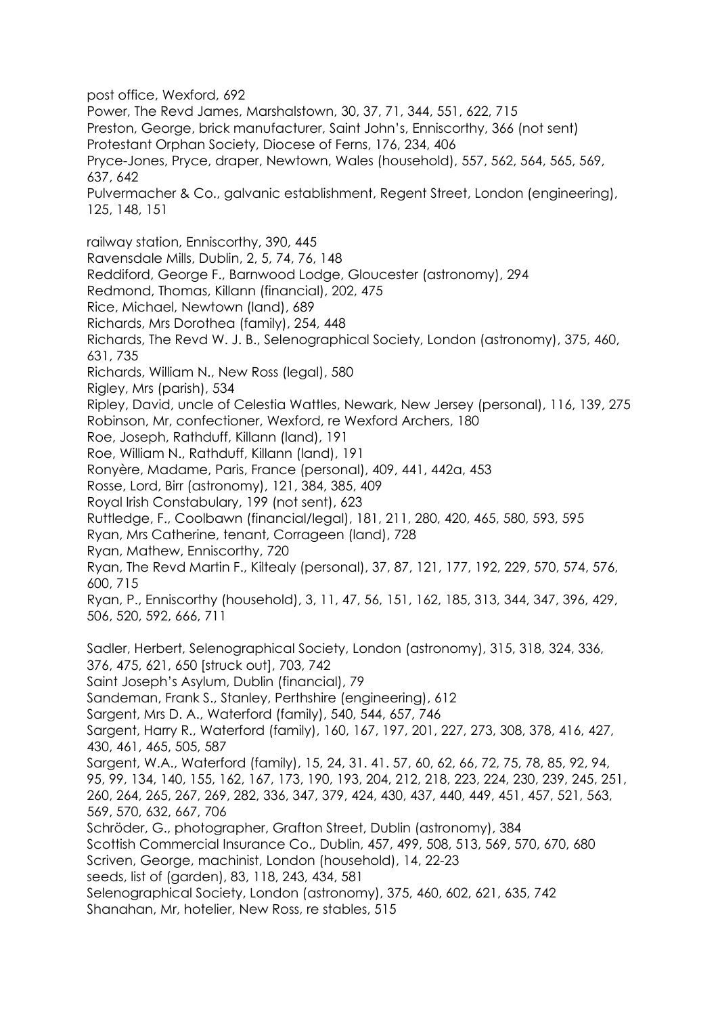post office, Wexford, 692 Power, The Revd James, Marshalstown, 30, 37, 71, 344, 551, 622, 715 Preston, George, brick manufacturer, Saint John's, Enniscorthy, 366 (not sent) Protestant Orphan Society, Diocese of Ferns, 176, 234, 406 Pryce-Jones, Pryce, draper, Newtown, Wales (household), 557, 562, 564, 565, 569, 637, 642 Pulvermacher & Co., galvanic establishment, Regent Street, London (engineering), 125, 148, 151 railway station, Enniscorthy, 390, 445 Ravensdale Mills, Dublin, 2, 5, 74, 76, 148 Reddiford, George F., Barnwood Lodge, Gloucester (astronomy), 294 Redmond, Thomas, Killann (financial), 202, 475 Rice, Michael, Newtown (land), 689 Richards, Mrs Dorothea (family), 254, 448 Richards, The Revd W. J. B., Selenographical Society, London (astronomy), 375, 460, 631, 735 Richards, William N., New Ross (legal), 580 Rigley, Mrs (parish), 534 Ripley, David, uncle of Celestia Wattles, Newark, New Jersey (personal), 116, 139, 275 Robinson, Mr, confectioner, Wexford, re Wexford Archers, 180 Roe, Joseph, Rathduff, Killann (land), 191 Roe, William N., Rathduff, Killann (land), 191 Ronyère, Madame, Paris, France (personal), 409, 441, 442a, 453 Rosse, Lord, Birr (astronomy), 121, 384, 385, 409 Royal Irish Constabulary, 199 (not sent), 623 Ruttledge, F., Coolbawn (financial/legal), 181, 211, 280, 420, 465, 580, 593, 595 Ryan, Mrs Catherine, tenant, Corrageen (land), 728 Ryan, Mathew, Enniscorthy, 720 Ryan, The Revd Martin F., Kiltealy (personal), 37, 87, 121, 177, 192, 229, 570, 574, 576, 600, 715 Ryan, P., Enniscorthy (household), 3, 11, 47, 56, 151, 162, 185, 313, 344, 347, 396, 429, 506, 520, 592, 666, 711 Sadler, Herbert, Selenographical Society, London (astronomy), 315, 318, 324, 336, 376, 475, 621, 650 [struck out], 703, 742 Saint Joseph's Asylum, Dublin (financial), 79 Sandeman, Frank S., Stanley, Perthshire (engineering), 612 Sargent, Mrs D. A., Waterford (family), 540, 544, 657, 746 Sargent, Harry R., Waterford (family), 160, 167, 197, 201, 227, 273, 308, 378, 416, 427, 430, 461, 465, 505, 587 Sargent, W.A., Waterford (family), 15, 24, 31. 41. 57, 60, 62, 66, 72, 75, 78, 85, 92, 94, 95, 99, 134, 140, 155, 162, 167, 173, 190, 193, 204, 212, 218, 223, 224, 230, 239, 245, 251, 260, 264, 265, 267, 269, 282, 336, 347, 379, 424, 430, 437, 440, 449, 451, 457, 521, 563, 569, 570, 632, 667, 706 Schröder, G., photographer, Grafton Street, Dublin (astronomy), 384 Scottish Commercial Insurance Co., Dublin, 457, 499, 508, 513, 569, 570, 670, 680 Scriven, George, machinist, London (household), 14, 22-23 seeds, list of (garden), 83, 118, 243, 434, 581 Selenographical Society, London (astronomy), 375, 460, 602, 621, 635, 742 Shanahan, Mr, hotelier, New Ross, re stables, 515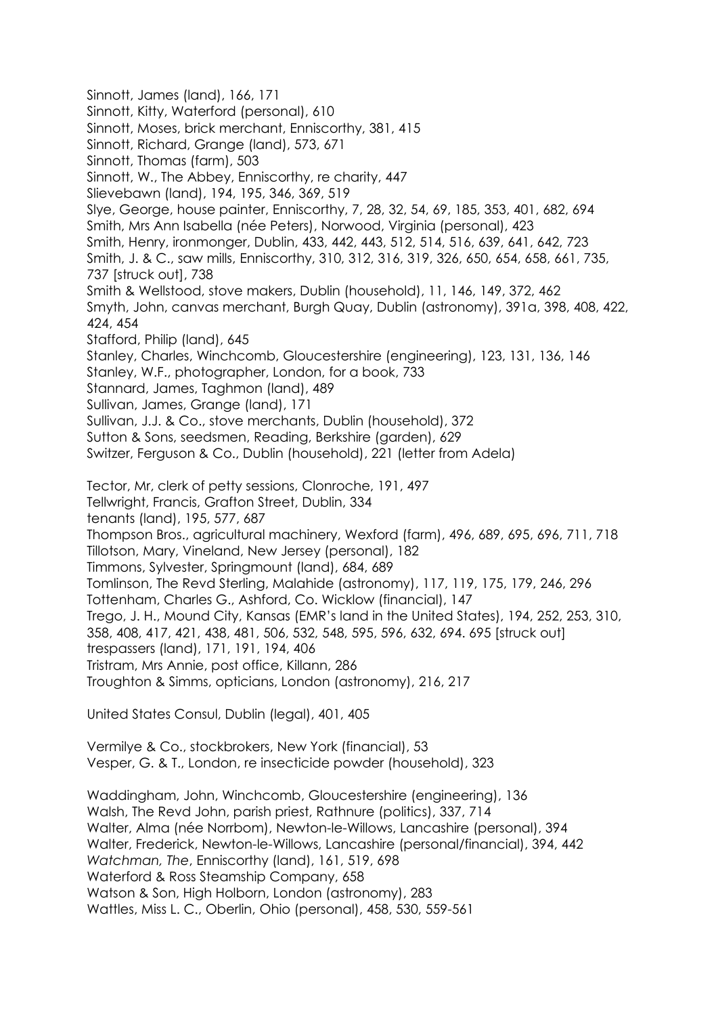Sinnott, James (land), 166, 171 Sinnott, Kitty, Waterford (personal), 610 Sinnott, Moses, brick merchant, Enniscorthy, 381, 415 Sinnott, Richard, Grange (land), 573, 671 Sinnott, Thomas (farm), 503 Sinnott, W., The Abbey, Enniscorthy, re charity, 447 Slievebawn (land), 194, 195, 346, 369, 519 Slye, George, house painter, Enniscorthy, 7, 28, 32, 54, 69, 185, 353, 401, 682, 694 Smith, Mrs Ann Isabella (née Peters), Norwood, Virginia (personal), 423 Smith, Henry, ironmonger, Dublin, 433, 442, 443, 512, 514, 516, 639, 641, 642, 723 Smith, J. & C., saw mills, Enniscorthy, 310, 312, 316, 319, 326, 650, 654, 658, 661, 735, 737 [struck out], 738 Smith & Wellstood, stove makers, Dublin (household), 11, 146, 149, 372, 462 Smyth, John, canvas merchant, Burgh Quay, Dublin (astronomy), 391a, 398, 408, 422, 424, 454 Stafford, Philip (land), 645 Stanley, Charles, Winchcomb, Gloucestershire (engineering), 123, 131, 136, 146 Stanley, W.F., photographer, London, for a book, 733 Stannard, James, Taghmon (land), 489 Sullivan, James, Grange (land), 171 Sullivan, J.J. & Co., stove merchants, Dublin (household), 372 Sutton & Sons, seedsmen, Reading, Berkshire (garden), 629 Switzer, Ferguson & Co., Dublin (household), 221 (letter from Adela) Tector, Mr, clerk of petty sessions, Clonroche, 191, 497 Tellwright, Francis, Grafton Street, Dublin, 334 tenants (land), 195, 577, 687 Thompson Bros., agricultural machinery, Wexford (farm), 496, 689, 695, 696, 711, 718 Tillotson, Mary, Vineland, New Jersey (personal), 182 Timmons, Sylvester, Springmount (land), 684, 689 Tomlinson, The Revd Sterling, Malahide (astronomy), 117, 119, 175, 179, 246, 296 Tottenham, Charles G., Ashford, Co. Wicklow (financial), 147 Trego, J. H., Mound City, Kansas (EMR's land in the United States), 194, 252, 253, 310, 358, 408, 417, 421, 438, 481, 506, 532, 548, 595, 596, 632, 694. 695 [struck out] trespassers (land), 171, 191, 194, 406 Tristram, Mrs Annie, post office, Killann, 286 Troughton & Simms, opticians, London (astronomy), 216, 217 United States Consul, Dublin (legal), 401, 405

Vermilye & Co., stockbrokers, New York (financial), 53 Vesper, G. & T., London, re insecticide powder (household), 323

Waddingham, John, Winchcomb, Gloucestershire (engineering), 136 Walsh, The Revd John, parish priest, Rathnure (politics), 337, 714 Walter, Alma (née Norrbom), Newton-le-Willows, Lancashire (personal), 394 Walter, Frederick, Newton-le-Willows, Lancashire (personal/financial), 394, 442 *Watchman, The*, Enniscorthy (land), 161, 519, 698 Waterford & Ross Steamship Company, 658 Watson & Son, High Holborn, London (astronomy), 283 Wattles, Miss L. C., Oberlin, Ohio (personal), 458, 530, 559-561